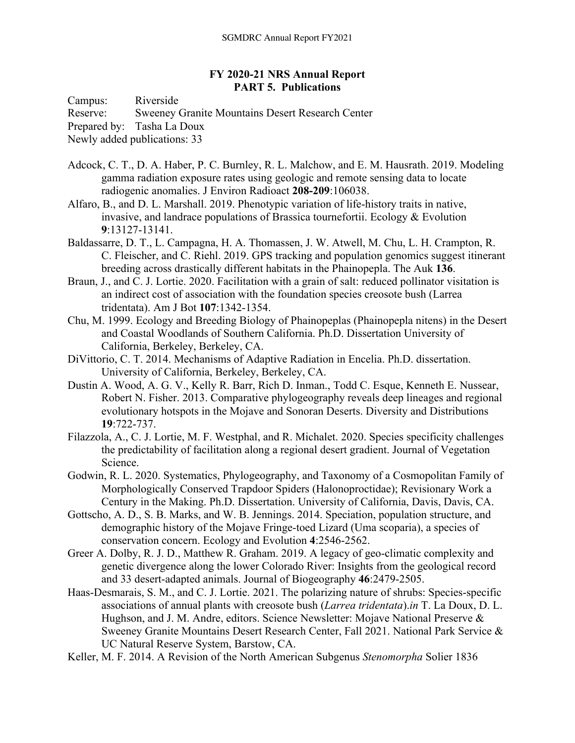## **FY 2020-21 NRS Annual Report PART 5. Publications**

Campus: Riverside

Reserve: Sweeney Granite Mountains Desert Research Center

Prepared by: Tasha La Doux

Newly added publications: 33

- Adcock, C. T., D. A. Haber, P. C. Burnley, R. L. Malchow, and E. M. Hausrath. 2019. Modeling gamma radiation exposure rates using geologic and remote sensing data to locate radiogenic anomalies. J Environ Radioact **208-209**:106038.
- Alfaro, B., and D. L. Marshall. 2019. Phenotypic variation of life‐history traits in native, invasive, and landrace populations of Brassica tournefortii. Ecology & Evolution **9**:13127-13141.
- Baldassarre, D. T., L. Campagna, H. A. Thomassen, J. W. Atwell, M. Chu, L. H. Crampton, R. C. Fleischer, and C. Riehl. 2019. GPS tracking and population genomics suggest itinerant breeding across drastically different habitats in the Phainopepla. The Auk **136**.
- Braun, J., and C. J. Lortie. 2020. Facilitation with a grain of salt: reduced pollinator visitation is an indirect cost of association with the foundation species creosote bush (Larrea tridentata). Am J Bot **107**:1342-1354.
- Chu, M. 1999. Ecology and Breeding Biology of Phainopeplas (Phainopepla nitens) in the Desert and Coastal Woodlands of Southern California. Ph.D. Dissertation University of California, Berkeley, Berkeley, CA.
- DiVittorio, C. T. 2014. Mechanisms of Adaptive Radiation in Encelia. Ph.D. dissertation. University of California, Berkeley, Berkeley, CA.
- Dustin A. Wood, A. G. V., Kelly R. Barr, Rich D. Inman., Todd C. Esque, Kenneth E. Nussear, Robert N. Fisher. 2013. Comparative phylogeography reveals deep lineages and regional evolutionary hotspots in the Mojave and Sonoran Deserts. Diversity and Distributions **19**:722-737.
- Filazzola, A., C. J. Lortie, M. F. Westphal, and R. Michalet. 2020. Species specificity challenges the predictability of facilitation along a regional desert gradient. Journal of Vegetation Science.
- Godwin, R. L. 2020. Systematics, Phylogeography, and Taxonomy of a Cosmopolitan Family of Morphologically Conserved Trapdoor Spiders (Halonoproctidae); Revisionary Work a Century in the Making. Ph.D. Dissertation. University of California, Davis, Davis, CA.
- Gottscho, A. D., S. B. Marks, and W. B. Jennings. 2014. Speciation, population structure, and demographic history of the Mojave Fringe-toed Lizard (Uma scoparia), a species of conservation concern. Ecology and Evolution **4**:2546-2562.
- Greer A. Dolby, R. J. D., Matthew R. Graham. 2019. A legacy of geo-climatic complexity and genetic divergence along the lower Colorado River: Insights from the geological record and 33 desert‐adapted animals. Journal of Biogeography **46**:2479-2505.
- Haas-Desmarais, S. M., and C. J. Lortie. 2021. The polarizing nature of shrubs: Species-specific associations of annual plants with creosote bush (*Larrea tridentata*).*in* T. La Doux, D. L. Hughson, and J. M. Andre, editors. Science Newsletter: Mojave National Preserve & Sweeney Granite Mountains Desert Research Center, Fall 2021. National Park Service & UC Natural Reserve System, Barstow, CA.
- Keller, M. F. 2014. A Revision of the North American Subgenus *Stenomorpha* Solier 1836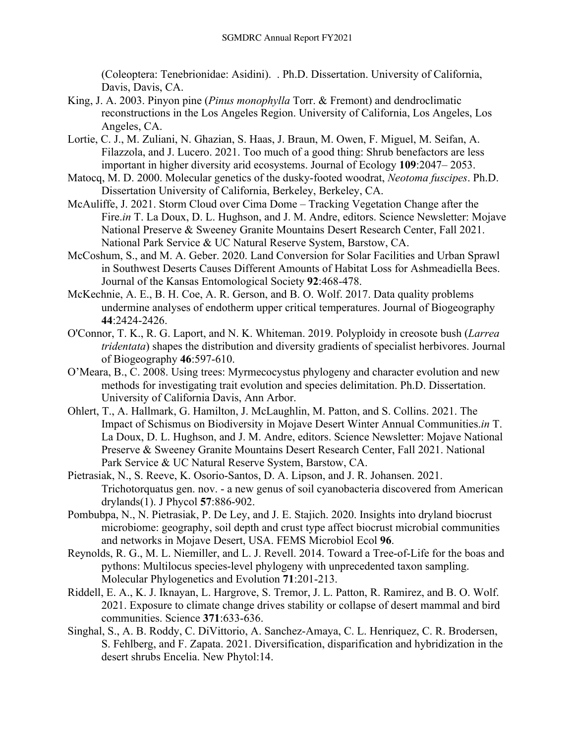(Coleoptera: Tenebrionidae: Asidini). . Ph.D. Dissertation. University of California, Davis, Davis, CA.

- King, J. A. 2003. Pinyon pine (*Pinus monophylla* Torr. & Fremont) and dendroclimatic reconstructions in the Los Angeles Region. University of California, Los Angeles, Los Angeles, CA.
- Lortie, C. J., M. Zuliani, N. Ghazian, S. Haas, J. Braun, M. Owen, F. Miguel, M. Seifan, A. Filazzola, and J. Lucero. 2021. Too much of a good thing: Shrub benefactors are less important in higher diversity arid ecosystems. Journal of Ecology **109**:2047– 2053.
- Matocq, M. D. 2000. Molecular genetics of the dusky‐footed woodrat, *Neotoma fuscipes*. Ph.D. Dissertation University of California, Berkeley, Berkeley, CA.
- McAuliffe, J. 2021. Storm Cloud over Cima Dome Tracking Vegetation Change after the Fire.*in* T. La Doux, D. L. Hughson, and J. M. Andre, editors. Science Newsletter: Mojave National Preserve & Sweeney Granite Mountains Desert Research Center, Fall 2021. National Park Service & UC Natural Reserve System, Barstow, CA.
- McCoshum, S., and M. A. Geber. 2020. Land Conversion for Solar Facilities and Urban Sprawl in Southwest Deserts Causes Different Amounts of Habitat Loss for Ashmeadiella Bees. Journal of the Kansas Entomological Society **92**:468-478.
- McKechnie, A. E., B. H. Coe, A. R. Gerson, and B. O. Wolf. 2017. Data quality problems undermine analyses of endotherm upper critical temperatures. Journal of Biogeography **44**:2424-2426.
- O'Connor, T. K., R. G. Laport, and N. K. Whiteman. 2019. Polyploidy in creosote bush (*Larrea tridentata*) shapes the distribution and diversity gradients of specialist herbivores. Journal of Biogeography **46**:597-610.
- O'Meara, B., C. 2008. Using trees: Myrmecocystus phylogeny and character evolution and new methods for investigating trait evolution and species delimitation. Ph.D. Dissertation. University of California Davis, Ann Arbor.
- Ohlert, T., A. Hallmark, G. Hamilton, J. McLaughlin, M. Patton, and S. Collins. 2021. The Impact of Schismus on Biodiversity in Mojave Desert Winter Annual Communities.*in* T. La Doux, D. L. Hughson, and J. M. Andre, editors. Science Newsletter: Mojave National Preserve & Sweeney Granite Mountains Desert Research Center, Fall 2021. National Park Service & UC Natural Reserve System, Barstow, CA.
- Pietrasiak, N., S. Reeve, K. Osorio-Santos, D. A. Lipson, and J. R. Johansen. 2021. Trichotorquatus gen. nov. - a new genus of soil cyanobacteria discovered from American drylands(1). J Phycol **57**:886-902.
- Pombubpa, N., N. Pietrasiak, P. De Ley, and J. E. Stajich. 2020. Insights into dryland biocrust microbiome: geography, soil depth and crust type affect biocrust microbial communities and networks in Mojave Desert, USA. FEMS Microbiol Ecol **96**.
- Reynolds, R. G., M. L. Niemiller, and L. J. Revell. 2014. Toward a Tree-of-Life for the boas and pythons: Multilocus species-level phylogeny with unprecedented taxon sampling. Molecular Phylogenetics and Evolution **71**:201-213.
- Riddell, E. A., K. J. Iknayan, L. Hargrove, S. Tremor, J. L. Patton, R. Ramirez, and B. O. Wolf. 2021. Exposure to climate change drives stability or collapse of desert mammal and bird communities. Science **371**:633-636.
- Singhal, S., A. B. Roddy, C. DiVittorio, A. Sanchez-Amaya, C. L. Henriquez, C. R. Brodersen, S. Fehlberg, and F. Zapata. 2021. Diversification, disparification and hybridization in the desert shrubs Encelia. New Phytol:14.